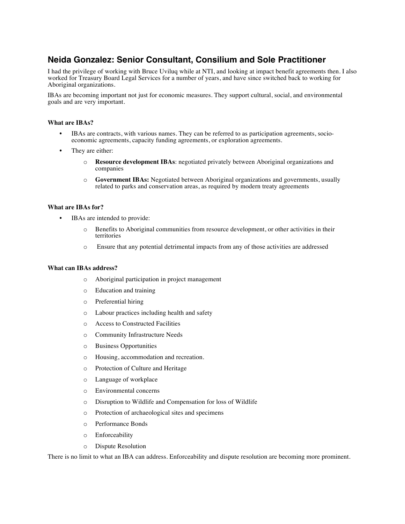# **Neida Gonzalez: Senior Consultant, Consilium and Sole Practitioner**

I had the privilege of working with Bruce Uviluq while at NTI, and looking at impact benefit agreements then. I also worked for Treasury Board Legal Services for a number of years, and have since switched back to working for Aboriginal organizations.

IBAs are becoming important not just for economic measures. They support cultural, social, and environmental goals and are very important.

### **What are IBAs?**

- IBAs are contracts, with various names. They can be referred to as participation agreements, socioeconomic agreements, capacity funding agreements, or exploration agreements.
- They are either:
	- o **Resource development IBAs**: negotiated privately between Aboriginal organizations and companies
	- o **Government IBAs:** Negotiated between Aboriginal organizations and governments, usually related to parks and conservation areas, as required by modern treaty agreements

#### **What are IBAs for?**

- IBAs are intended to provide:
	- o Benefits to Aboriginal communities from resource development, or other activities in their territories
	- o Ensure that any potential detrimental impacts from any of those activities are addressed

#### **What can IBAs address?**

- o Aboriginal participation in project management
- o Education and training
- o Preferential hiring
- o Labour practices including health and safety
- o Access to Constructed Facilities
- o Community Infrastructure Needs
- o Business Opportunities
- o Housing, accommodation and recreation.
- o Protection of Culture and Heritage
- o Language of workplace
- o Environmental concerns
- o Disruption to Wildlife and Compensation for loss of Wildlife
- o Protection of archaeological sites and specimens
- o Performance Bonds
- o Enforceability
- o Dispute Resolution

There is no limit to what an IBA can address. Enforceability and dispute resolution are becoming more prominent.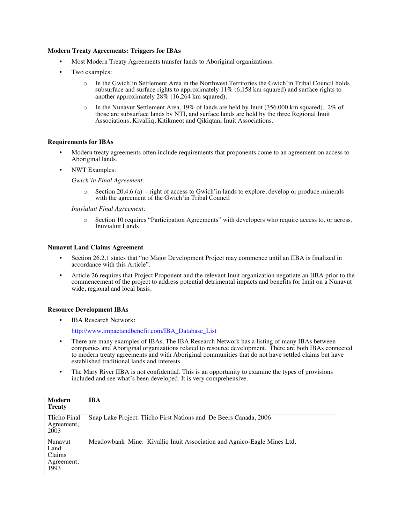#### **Modern Treaty Agreements: Triggers for IBAs**

- Most Modern Treaty Agreements transfer lands to Aboriginal organizations.
- Two examples:
	- o In the Gwich'in Settlement Area in the Northwest Territories the Gwich'in Tribal Council holds subsurface and surface rights to approximately 11% (6,158 km squared) and surface rights to another approximately 28% (16,264 km squared).
	- $\circ$  In the Nunavut Settlement Area, 19% of lands are held by Inuit (356,000 km squared). 2% of those are subsurface lands by NTI, and surface lands are held by the three Regional Inuit Associations, Kivalliq, Kitikmeot and Qikiqtani Inuit Associations.

#### **Requirements for IBAs**

- Modern treaty agreements often include requirements that proponents come to an agreement on access to Aboriginal lands.
- NWT Examples:

*Gwich'in Final Agreement:*

o Section 20.4.6 (a) - right of access to Gwich'in lands to explore, develop or produce minerals with the agreement of the Gwich'in Tribal Council

*Inuvialuit Final Agreement:*

o Section 10 requires "Participation Agreements" with developers who require access to, or across, Inuvialuit Lands.

#### **Nunavut Land Claims Agreement**

- Section 26.2.1 states that "no Major Development Project may commence until an IIBA is finalized in accordance with this Article".
- Article 26 requires that Project Proponent and the relevant Inuit organization negotiate an IIBA prior to the commencement of the project to address potential detrimental impacts and benefits for Inuit on a Nunavut wide, regional and local basis.

# **Resource Development IBAs**

• IBA Research Network:

http://www.impactandbenefit.com/IBA\_Database\_List

- There are many examples of IBAs. The IBA Research Network has a listing of many IBAs between companies and Aboriginal organizations related to resource development. There are both IBAs connected to modern treaty agreements and with Aboriginal communities that do not have settled claims but have established traditional lands and interests.
- The Mary River IIBA is not confidential. This is an opportunity to examine the types of provisions included and see what's been developed. It is very comprehensive.

| Modern<br><b>Treaty</b>                         | <b>IBA</b>                                                              |
|-------------------------------------------------|-------------------------------------------------------------------------|
| Tlicho Final<br>Agreement,<br>2003              | Snap Lake Project: Tlicho First Nations and De Beers Canada, 2006       |
| Nunavut<br>Land<br>Claims<br>Agreement,<br>1993 | Meadowbank Mine: Kivalliq Inuit Association and Agnico-Eagle Mines Ltd. |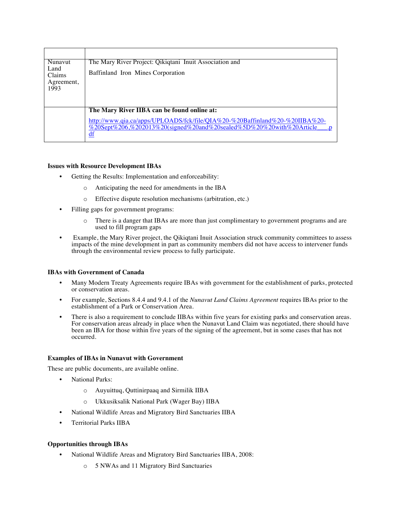| Nunavut<br>Land<br>Claims | The Mary River Project: Qikiqtani Inuit Association and                                                                                                                         |
|---------------------------|---------------------------------------------------------------------------------------------------------------------------------------------------------------------------------|
|                           | Baffinland Iron Mines Corporation                                                                                                                                               |
| Agreement,<br>1993        |                                                                                                                                                                                 |
|                           |                                                                                                                                                                                 |
|                           | The Mary River IIBA can be found online at:                                                                                                                                     |
|                           | http://www.qia.ca/apps/UPLOADS/fck/file/QIA%20-%20Baffinland%20-%20IIBA%20-<br>%20Sept%206,%202013%20(signed%20and%20sealed%5D%20%20with%20Article<br>$\underline{\mathrm{df}}$ |

#### **Issues with Resource Development IBAs**

- Getting the Results: Implementation and enforceability:
	- o Anticipating the need for amendments in the IBA
	- o Effective dispute resolution mechanisms (arbitration, etc.)
- Filling gaps for government programs:
	- o There is a danger that IBAs are more than just complimentary to government programs and are used to fill program gaps
- Example, the Mary River project, the Qikiqtani Inuit Association struck community committees to assess impacts of the mine development in part as community members did not have access to intervener funds through the environmental review process to fully participate.

#### **IBAs with Government of Canada**

- Many Modern Treaty Agreements require IBAs with government for the establishment of parks, protected or conservation areas.
- For example, Sections 8.4.4 and 9.4.1 of the *Nunavut Land Claims Agreement* requires IBAs prior to the establishment of a Park or Conservation Area.
- There is also a requirement to conclude IIBAs within five years for existing parks and conservation areas. For conservation areas already in place when the Nunavut Land Claim was negotiated, there should have been an IBA for those within five years of the signing of the agreement, but in some cases that has not occurred.

## **Examples of IBAs in Nunavut with Government**

These are public documents, are available online.

- National Parks:
	- o Auyuittuq, Quttinirpaaq and Sirmilik IIBA
	- o Ukkusiksalik National Park (Wager Bay) IIBA
- National Wildlife Areas and Migratory Bird Sanctuaries IIBA
- Territorial Parks IIBA

## **Opportunities through IBAs**

- National Wildlife Areas and Migratory Bird Sanctuaries IIBA, 2008:
	- o 5 NWAs and 11 Migratory Bird Sanctuaries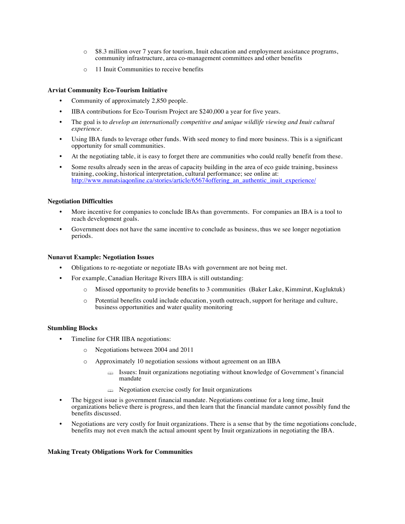- o \$8.3 million over 7 years for tourism, Inuit education and employment assistance programs, community infrastructure, area co-management committees and other benefits
- o 11 Inuit Communities to receive benefits

## **Arviat Community Eco-Tourism Initiative**

- Community of approximately 2,850 people.
- IIBA contributions for Eco-Tourism Project are \$240,000 a year for five years.
- The goal is to *develop an internationally competitive and unique wildlife viewing and Inuit cultural experience.*
- Using IBA funds to leverage other funds. With seed money to find more business. This is a significant opportunity for small communities.
- At the negotiating table, it is easy to forget there are communities who could really benefit from these.
- Some results already seen in the areas of capacity building in the area of eco guide training, business training, cooking, historical interpretation, cultural performance; see online at: http://www.nunatsiagonline.ca/stories/article/65674offering an authentic inuit experience/

#### **Negotiation Difficulties**

- More incentive for companies to conclude IBAs than governments. For companies an IBA is a tool to reach development goals.
- Government does not have the same incentive to conclude as business, thus we see longer negotiation periods.

#### **Nunavut Example: Negotiation Issues**

- Obligations to re-negotiate or negotiate IBAs with government are not being met.
- For example, Canadian Heritage Rivers IIBA is still outstanding:
	- o Missed opportunity to provide benefits to 3 communities (Baker Lake, Kimmirut, Kugluktuk)
	- o Potential benefits could include education, youth outreach, support for heritage and culture, business opportunities and water quality monitoring

#### **Stumbling Blocks**

- Timeline for CHR IIBA negotiations:
	- o Negotiations between 2004 and 2011
	- o Approximately 10 negotiation sessions without agreement on an IIBA
		- $\Rightarrow$  Issues: Inuit organizations negotiating without knowledge of Government's financial mandate
		- $\triangle$  Negotiation exercise costly for Inuit organizations
- The biggest issue is government financial mandate. Negotiations continue for a long time, Inuit organizations believe there is progress, and then learn that the financial mandate cannot possibly fund the benefits discussed.
- Negotiations are very costly for Inuit organizations. There is a sense that by the time negotiations conclude, benefits may not even match the actual amount spent by Inuit organizations in negotiating the IBA.

#### **Making Treaty Obligations Work for Communities**